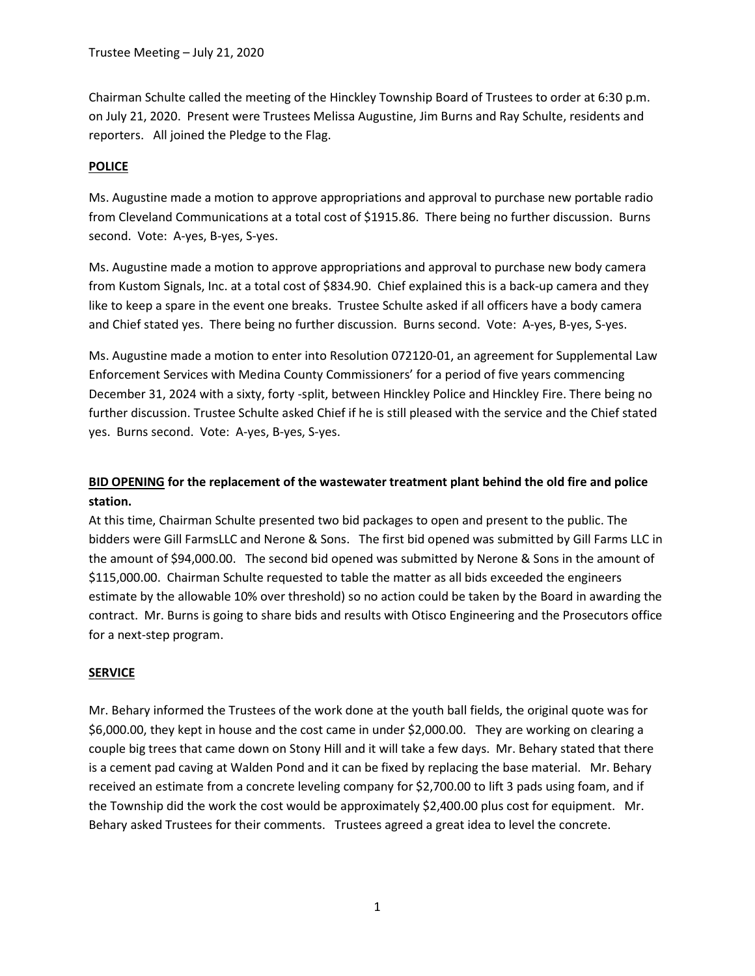Chairman Schulte called the meeting of the Hinckley Township Board of Trustees to order at 6:30 p.m. on July 21, 2020. Present were Trustees Melissa Augustine, Jim Burns and Ray Schulte, residents and reporters. All joined the Pledge to the Flag.

## **POLICE**

Ms. Augustine made a motion to approve appropriations and approval to purchase new portable radio from Cleveland Communications at a total cost of \$1915.86. There being no further discussion. Burns second. Vote: A-yes, B-yes, S-yes.

Ms. Augustine made a motion to approve appropriations and approval to purchase new body camera from Kustom Signals, Inc. at a total cost of \$834.90. Chief explained this is a back-up camera and they like to keep a spare in the event one breaks. Trustee Schulte asked if all officers have a body camera and Chief stated yes. There being no further discussion. Burns second. Vote: A-yes, B-yes, S-yes.

Ms. Augustine made a motion to enter into Resolution 072120-01, an agreement for Supplemental Law Enforcement Services with Medina County Commissioners' for a period of five years commencing December 31, 2024 with a sixty, forty -split, between Hinckley Police and Hinckley Fire. There being no further discussion. Trustee Schulte asked Chief if he is still pleased with the service and the Chief stated yes. Burns second. Vote: A-yes, B-yes, S-yes.

# BID OPENING for the replacement of the wastewater treatment plant behind the old fire and police station.

At this time, Chairman Schulte presented two bid packages to open and present to the public. The bidders were Gill FarmsLLC and Nerone & Sons. The first bid opened was submitted by Gill Farms LLC in the amount of \$94,000.00. The second bid opened was submitted by Nerone & Sons in the amount of \$115,000.00. Chairman Schulte requested to table the matter as all bids exceeded the engineers estimate by the allowable 10% over threshold) so no action could be taken by the Board in awarding the contract. Mr. Burns is going to share bids and results with Otisco Engineering and the Prosecutors office for a next-step program.

## **SERVICE**

Mr. Behary informed the Trustees of the work done at the youth ball fields, the original quote was for \$6,000.00, they kept in house and the cost came in under \$2,000.00. They are working on clearing a couple big trees that came down on Stony Hill and it will take a few days. Mr. Behary stated that there is a cement pad caving at Walden Pond and it can be fixed by replacing the base material. Mr. Behary received an estimate from a concrete leveling company for \$2,700.00 to lift 3 pads using foam, and if the Township did the work the cost would be approximately \$2,400.00 plus cost for equipment. Mr. Behary asked Trustees for their comments. Trustees agreed a great idea to level the concrete.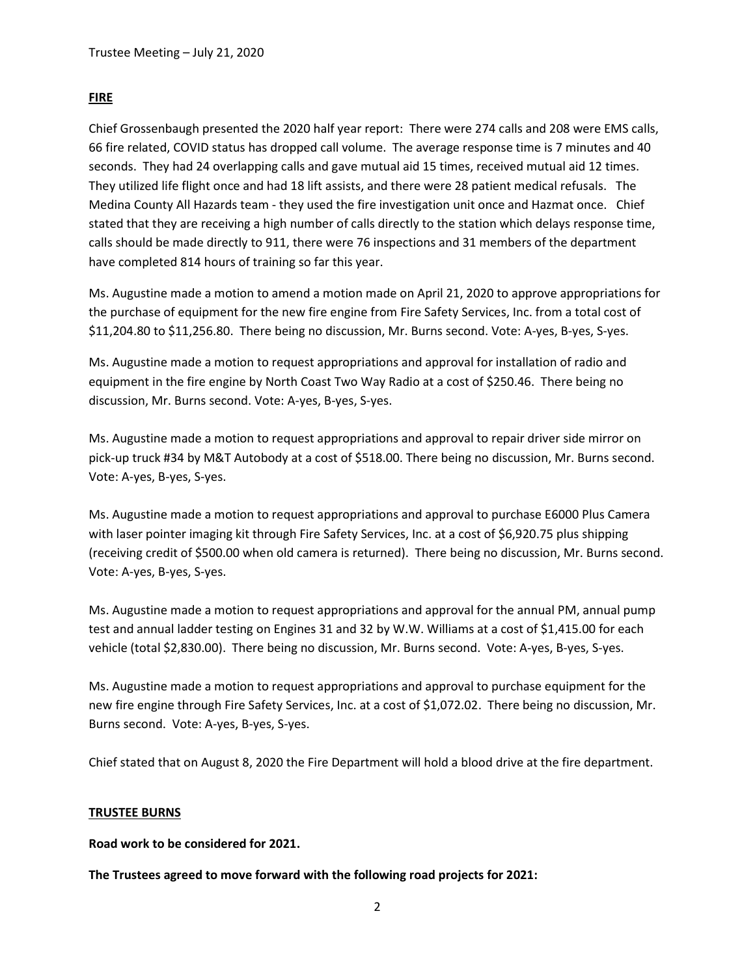### FIRE

Chief Grossenbaugh presented the 2020 half year report: There were 274 calls and 208 were EMS calls, 66 fire related, COVID status has dropped call volume. The average response time is 7 minutes and 40 seconds. They had 24 overlapping calls and gave mutual aid 15 times, received mutual aid 12 times. They utilized life flight once and had 18 lift assists, and there were 28 patient medical refusals. The Medina County All Hazards team - they used the fire investigation unit once and Hazmat once. Chief stated that they are receiving a high number of calls directly to the station which delays response time, calls should be made directly to 911, there were 76 inspections and 31 members of the department have completed 814 hours of training so far this year.

Ms. Augustine made a motion to amend a motion made on April 21, 2020 to approve appropriations for the purchase of equipment for the new fire engine from Fire Safety Services, Inc. from a total cost of \$11,204.80 to \$11,256.80. There being no discussion, Mr. Burns second. Vote: A-yes, B-yes, S-yes.

Ms. Augustine made a motion to request appropriations and approval for installation of radio and equipment in the fire engine by North Coast Two Way Radio at a cost of \$250.46. There being no discussion, Mr. Burns second. Vote: A-yes, B-yes, S-yes.

Ms. Augustine made a motion to request appropriations and approval to repair driver side mirror on pick-up truck #34 by M&T Autobody at a cost of \$518.00. There being no discussion, Mr. Burns second. Vote: A-yes, B-yes, S-yes.

Ms. Augustine made a motion to request appropriations and approval to purchase E6000 Plus Camera with laser pointer imaging kit through Fire Safety Services, Inc. at a cost of \$6,920.75 plus shipping (receiving credit of \$500.00 when old camera is returned). There being no discussion, Mr. Burns second. Vote: A-yes, B-yes, S-yes.

Ms. Augustine made a motion to request appropriations and approval for the annual PM, annual pump test and annual ladder testing on Engines 31 and 32 by W.W. Williams at a cost of \$1,415.00 for each vehicle (total \$2,830.00). There being no discussion, Mr. Burns second. Vote: A-yes, B-yes, S-yes.

Ms. Augustine made a motion to request appropriations and approval to purchase equipment for the new fire engine through Fire Safety Services, Inc. at a cost of \$1,072.02. There being no discussion, Mr. Burns second. Vote: A-yes, B-yes, S-yes.

Chief stated that on August 8, 2020 the Fire Department will hold a blood drive at the fire department.

#### TRUSTEE BURNS

Road work to be considered for 2021.

The Trustees agreed to move forward with the following road projects for 2021: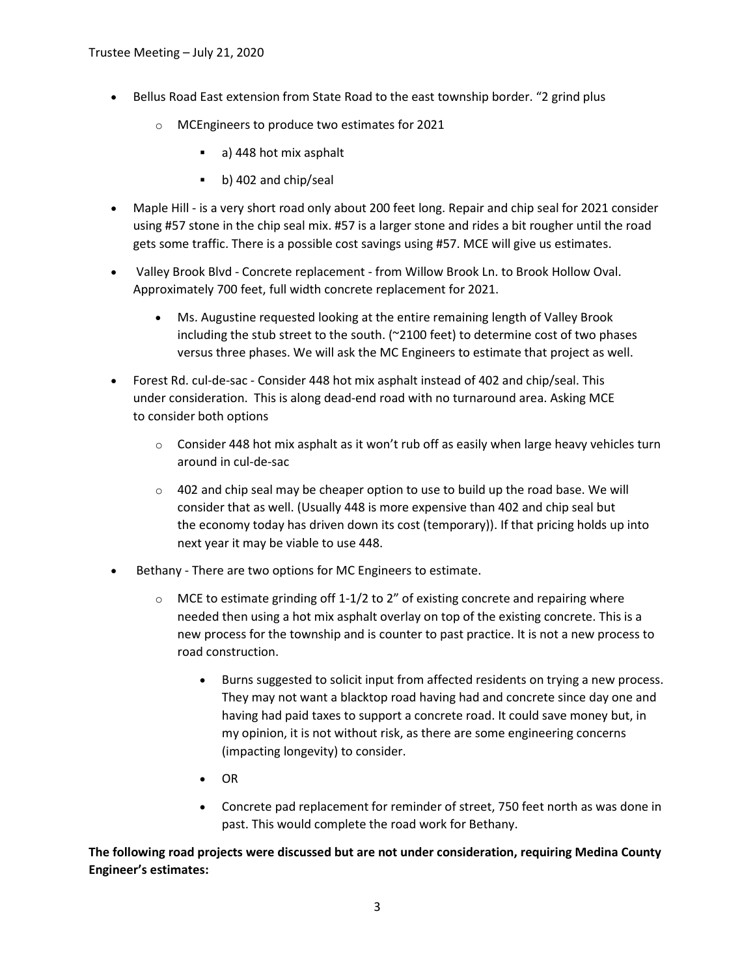- Bellus Road East extension from State Road to the east township border. "2 grind plus
	- o MCEngineers to produce two estimates for 2021
		- a) 448 hot mix asphalt
		- b) 402 and chip/seal
- Maple Hill is a very short road only about 200 feet long. Repair and chip seal for 2021 consider using #57 stone in the chip seal mix. #57 is a larger stone and rides a bit rougher until the road gets some traffic. There is a possible cost savings using #57. MCE will give us estimates.
- Valley Brook Blvd Concrete replacement from Willow Brook Ln. to Brook Hollow Oval. Approximately 700 feet, full width concrete replacement for 2021.
	- Ms. Augustine requested looking at the entire remaining length of Valley Brook including the stub street to the south.  $(2100 \text{ feet})$  to determine cost of two phases versus three phases. We will ask the MC Engineers to estimate that project as well.
- Forest Rd. cul-de-sac Consider 448 hot mix asphalt instead of 402 and chip/seal. This under consideration. This is along dead-end road with no turnaround area. Asking MCE to consider both options
	- $\circ$  Consider 448 hot mix asphalt as it won't rub off as easily when large heavy vehicles turn around in cul-de-sac
	- $\circ$  402 and chip seal may be cheaper option to use to build up the road base. We will consider that as well. (Usually 448 is more expensive than 402 and chip seal but the economy today has driven down its cost (temporary)). If that pricing holds up into next year it may be viable to use 448.
- Bethany There are two options for MC Engineers to estimate.
	- $\circ$  MCE to estimate grinding off 1-1/2 to 2" of existing concrete and repairing where needed then using a hot mix asphalt overlay on top of the existing concrete. This is a new process for the township and is counter to past practice. It is not a new process to road construction.
		- Burns suggested to solicit input from affected residents on trying a new process. They may not want a blacktop road having had and concrete since day one and having had paid taxes to support a concrete road. It could save money but, in my opinion, it is not without risk, as there are some engineering concerns (impacting longevity) to consider.
		- $\bullet$  OR
		- Concrete pad replacement for reminder of street, 750 feet north as was done in past. This would complete the road work for Bethany.

The following road projects were discussed but are not under consideration, requiring Medina County Engineer's estimates: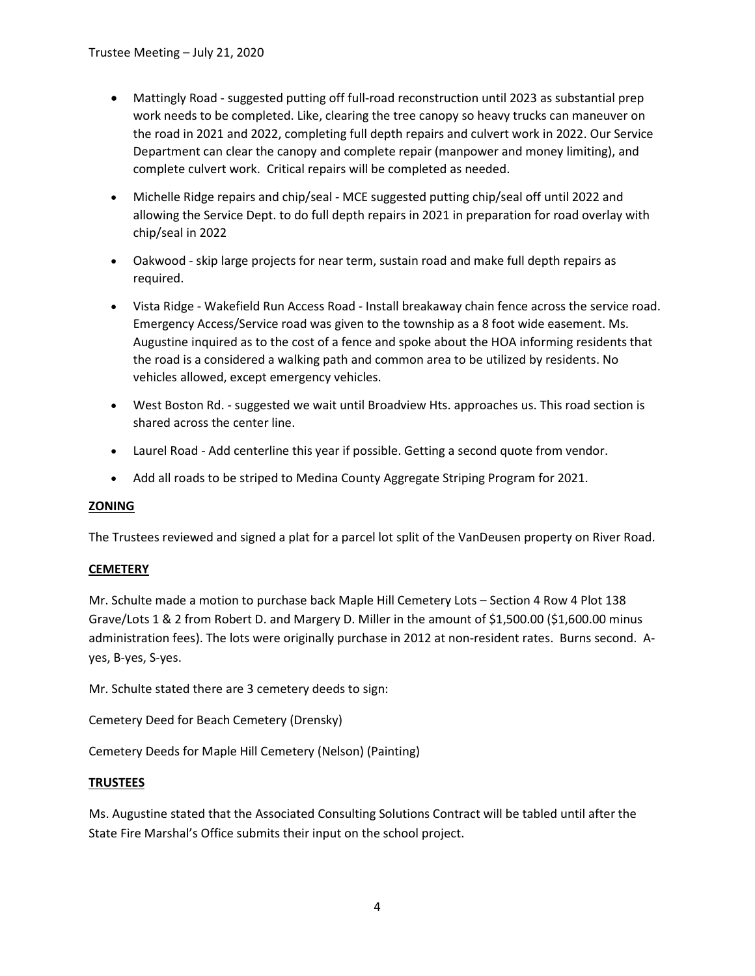- Mattingly Road suggested putting off full-road reconstruction until 2023 as substantial prep work needs to be completed. Like, clearing the tree canopy so heavy trucks can maneuver on the road in 2021 and 2022, completing full depth repairs and culvert work in 2022. Our Service Department can clear the canopy and complete repair (manpower and money limiting), and complete culvert work. Critical repairs will be completed as needed.
- Michelle Ridge repairs and chip/seal MCE suggested putting chip/seal off until 2022 and allowing the Service Dept. to do full depth repairs in 2021 in preparation for road overlay with chip/seal in 2022
- Oakwood skip large projects for near term, sustain road and make full depth repairs as required.
- Vista Ridge Wakefield Run Access Road Install breakaway chain fence across the service road. Emergency Access/Service road was given to the township as a 8 foot wide easement. Ms. Augustine inquired as to the cost of a fence and spoke about the HOA informing residents that the road is a considered a walking path and common area to be utilized by residents. No vehicles allowed, except emergency vehicles.
- West Boston Rd. suggested we wait until Broadview Hts. approaches us. This road section is shared across the center line.
- Laurel Road Add centerline this year if possible. Getting a second quote from vendor.
- Add all roads to be striped to Medina County Aggregate Striping Program for 2021.

## ZONING

The Trustees reviewed and signed a plat for a parcel lot split of the VanDeusen property on River Road.

#### **CEMETERY**

Mr. Schulte made a motion to purchase back Maple Hill Cemetery Lots – Section 4 Row 4 Plot 138 Grave/Lots 1 & 2 from Robert D. and Margery D. Miller in the amount of \$1,500.00 (\$1,600.00 minus administration fees). The lots were originally purchase in 2012 at non-resident rates. Burns second. Ayes, B-yes, S-yes.

Mr. Schulte stated there are 3 cemetery deeds to sign:

Cemetery Deed for Beach Cemetery (Drensky)

Cemetery Deeds for Maple Hill Cemetery (Nelson) (Painting)

#### TRUSTEES

Ms. Augustine stated that the Associated Consulting Solutions Contract will be tabled until after the State Fire Marshal's Office submits their input on the school project.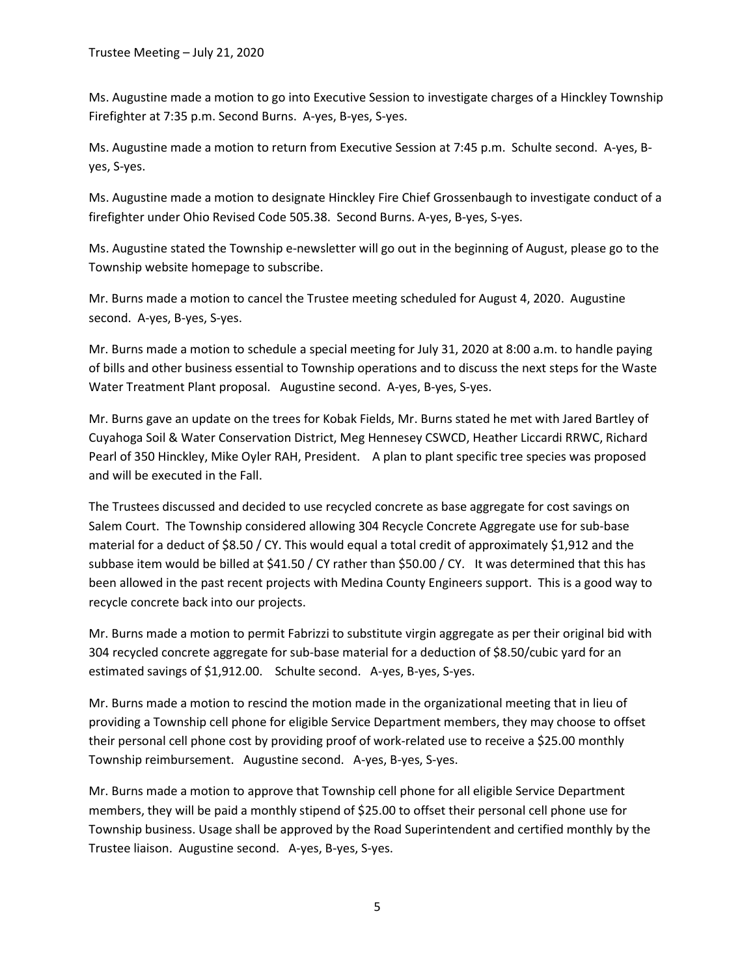Ms. Augustine made a motion to go into Executive Session to investigate charges of a Hinckley Township Firefighter at 7:35 p.m. Second Burns. A-yes, B-yes, S-yes.

Ms. Augustine made a motion to return from Executive Session at 7:45 p.m. Schulte second. A-yes, Byes, S-yes.

Ms. Augustine made a motion to designate Hinckley Fire Chief Grossenbaugh to investigate conduct of a firefighter under Ohio Revised Code 505.38. Second Burns. A-yes, B-yes, S-yes.

Ms. Augustine stated the Township e-newsletter will go out in the beginning of August, please go to the Township website homepage to subscribe.

Mr. Burns made a motion to cancel the Trustee meeting scheduled for August 4, 2020. Augustine second. A-yes, B-yes, S-yes.

Mr. Burns made a motion to schedule a special meeting for July 31, 2020 at 8:00 a.m. to handle paying of bills and other business essential to Township operations and to discuss the next steps for the Waste Water Treatment Plant proposal. Augustine second. A-yes, B-yes, S-yes.

Mr. Burns gave an update on the trees for Kobak Fields, Mr. Burns stated he met with Jared Bartley of Cuyahoga Soil & Water Conservation District, Meg Hennesey CSWCD, Heather Liccardi RRWC, Richard Pearl of 350 Hinckley, Mike Oyler RAH, President. A plan to plant specific tree species was proposed and will be executed in the Fall.

The Trustees discussed and decided to use recycled concrete as base aggregate for cost savings on Salem Court. The Township considered allowing 304 Recycle Concrete Aggregate use for sub-base material for a deduct of \$8.50 / CY. This would equal a total credit of approximately \$1,912 and the subbase item would be billed at \$41.50 / CY rather than \$50.00 / CY. It was determined that this has been allowed in the past recent projects with Medina County Engineers support. This is a good way to recycle concrete back into our projects.

Mr. Burns made a motion to permit Fabrizzi to substitute virgin aggregate as per their original bid with 304 recycled concrete aggregate for sub-base material for a deduction of \$8.50/cubic yard for an estimated savings of \$1,912.00. Schulte second. A-yes, B-yes, S-yes.

Mr. Burns made a motion to rescind the motion made in the organizational meeting that in lieu of providing a Township cell phone for eligible Service Department members, they may choose to offset their personal cell phone cost by providing proof of work-related use to receive a \$25.00 monthly Township reimbursement. Augustine second. A-yes, B-yes, S-yes.

Mr. Burns made a motion to approve that Township cell phone for all eligible Service Department members, they will be paid a monthly stipend of \$25.00 to offset their personal cell phone use for Township business. Usage shall be approved by the Road Superintendent and certified monthly by the Trustee liaison. Augustine second. A-yes, B-yes, S-yes.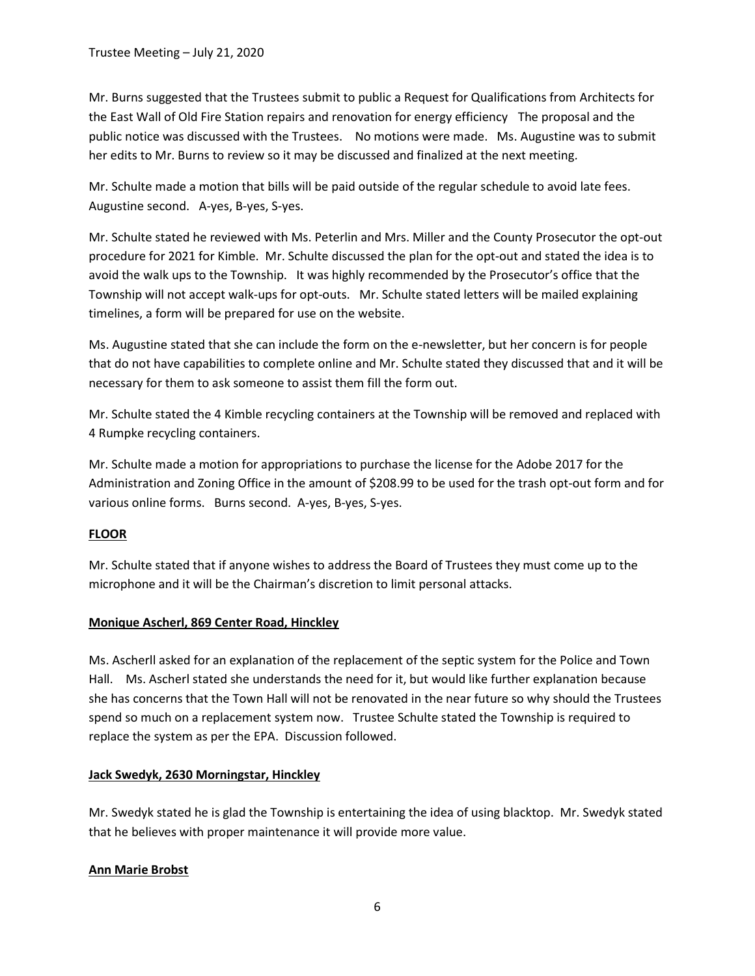Mr. Burns suggested that the Trustees submit to public a Request for Qualifications from Architects for the East Wall of Old Fire Station repairs and renovation for energy efficiency The proposal and the public notice was discussed with the Trustees. No motions were made. Ms. Augustine was to submit her edits to Mr. Burns to review so it may be discussed and finalized at the next meeting.

Mr. Schulte made a motion that bills will be paid outside of the regular schedule to avoid late fees. Augustine second. A-yes, B-yes, S-yes.

Mr. Schulte stated he reviewed with Ms. Peterlin and Mrs. Miller and the County Prosecutor the opt-out procedure for 2021 for Kimble. Mr. Schulte discussed the plan for the opt-out and stated the idea is to avoid the walk ups to the Township. It was highly recommended by the Prosecutor's office that the Township will not accept walk-ups for opt-outs. Mr. Schulte stated letters will be mailed explaining timelines, a form will be prepared for use on the website.

Ms. Augustine stated that she can include the form on the e-newsletter, but her concern is for people that do not have capabilities to complete online and Mr. Schulte stated they discussed that and it will be necessary for them to ask someone to assist them fill the form out.

Mr. Schulte stated the 4 Kimble recycling containers at the Township will be removed and replaced with 4 Rumpke recycling containers.

Mr. Schulte made a motion for appropriations to purchase the license for the Adobe 2017 for the Administration and Zoning Office in the amount of \$208.99 to be used for the trash opt-out form and for various online forms. Burns second. A-yes, B-yes, S-yes.

## FLOOR

Mr. Schulte stated that if anyone wishes to address the Board of Trustees they must come up to the microphone and it will be the Chairman's discretion to limit personal attacks.

## Monique Ascherl, 869 Center Road, Hinckley

Ms. Ascherll asked for an explanation of the replacement of the septic system for the Police and Town Hall. Ms. Ascherl stated she understands the need for it, but would like further explanation because she has concerns that the Town Hall will not be renovated in the near future so why should the Trustees spend so much on a replacement system now. Trustee Schulte stated the Township is required to replace the system as per the EPA. Discussion followed.

#### Jack Swedyk, 2630 Morningstar, Hinckley

Mr. Swedyk stated he is glad the Township is entertaining the idea of using blacktop. Mr. Swedyk stated that he believes with proper maintenance it will provide more value.

## Ann Marie Brobst